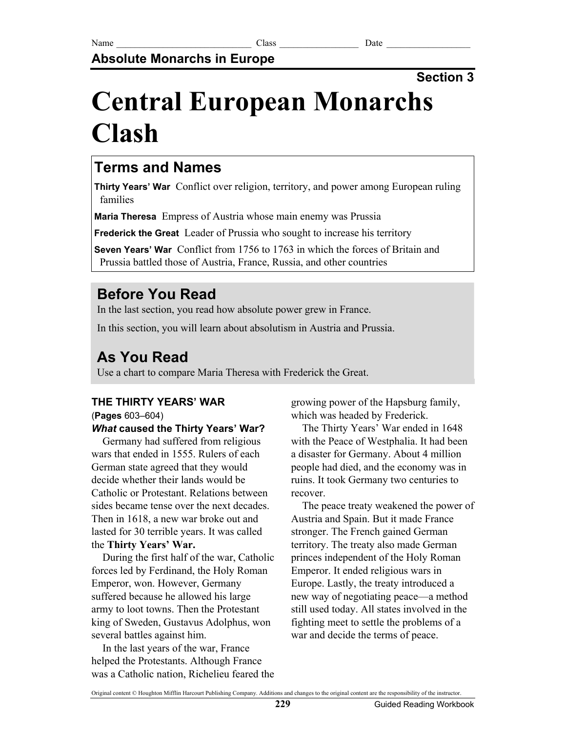## **Absolute Monarchs in Europe**

## **Section 3**

# **Central European Monarchs Clash**

## **Terms and Names**

**Thirty Years' War** Conflict over religion, territory, and power among European ruling families

**Maria Theresa** Empress of Austria whose main enemy was Prussia

**Frederick the Great** Leader of Prussia who sought to increase his territory

**Seven Years' War** Conflict from 1756 to 1763 in which the forces of Britain and Prussia battled those of Austria, France, Russia, and other countries

# **Before You Read**

In the last section, you read how absolute power grew in France.

In this section, you will learn about absolutism in Austria and Prussia.

## **As You Read**

Use a chart to compare Maria Theresa with Frederick the Great.

### **THE THIRTY YEARS' WAR**

(**Pages** 603–604)

#### *What* **caused the Thirty Years' War?**

Germany had suffered from religious wars that ended in 1555. Rulers of each German state agreed that they would decide whether their lands would be Catholic or Protestant. Relations between sides became tense over the next decades. Then in 1618, a new war broke out and lasted for 30 terrible years. It was called the **Thirty Years' War.**

During the first half of the war, Catholic forces led by Ferdinand, the Holy Roman Emperor, won. However, Germany suffered because he allowed his large army to loot towns. Then the Protestant king of Sweden, Gustavus Adolphus, won several battles against him.

In the last years of the war, France helped the Protestants. Although France was a Catholic nation, Richelieu feared the growing power of the Hapsburg family, which was headed by Frederick.

The Thirty Years' War ended in 1648 with the Peace of Westphalia. It had been a disaster for Germany. About 4 million people had died, and the economy was in ruins. It took Germany two centuries to recover.

The peace treaty weakened the power of Austria and Spain. But it made France stronger. The French gained German territory. The treaty also made German princes independent of the Holy Roman Emperor. It ended religious wars in Europe. Lastly, the treaty introduced a new way of negotiating peace—a method still used today. All states involved in the fighting meet to settle the problems of a war and decide the terms of peace.

Original content © Houghton Mifflin Harcourt Publishing Company. Additions and changes to the original content are the responsibility of the instructor.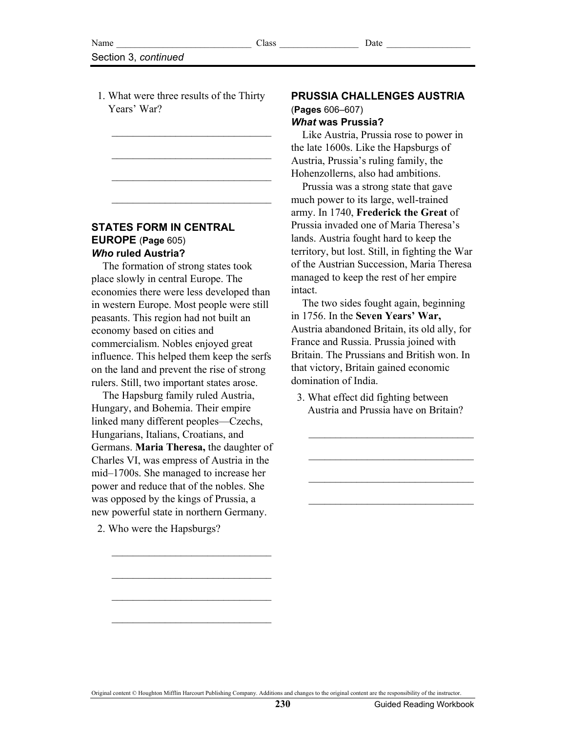1. What were three results of the Thirty Years' War?

 $\overline{\phantom{a}}$  , where  $\overline{\phantom{a}}$  , where  $\overline{\phantom{a}}$  , where  $\overline{\phantom{a}}$ 

 $\overline{\phantom{a}}$  , where  $\overline{\phantom{a}}$  , where  $\overline{\phantom{a}}$  , where  $\overline{\phantom{a}}$ 

 $\overline{\phantom{a}}$  , where  $\overline{\phantom{a}}$  , where  $\overline{\phantom{a}}$  , where  $\overline{\phantom{a}}$ 

 $\overline{\phantom{a}}$  , where  $\overline{\phantom{a}}$  , where  $\overline{\phantom{a}}$  , where  $\overline{\phantom{a}}$ 

#### **STATES FORM IN CENTRAL EUROPE** (**Page** 605) *Who* **ruled Austria?**

The formation of strong states took place slowly in central Europe. The economies there were less developed than in western Europe. Most people were still peasants. This region had not built an economy based on cities and commercialism. Nobles enjoyed great influence. This helped them keep the serfs on the land and prevent the rise of strong rulers. Still, two important states arose.

The Hapsburg family ruled Austria, Hungary, and Bohemia. Their empire linked many different peoples—Czechs, Hungarians, Italians, Croatians, and Germans. **Maria Theresa,** the daughter of Charles VI, was empress of Austria in the mid–1700s. She managed to increase her power and reduce that of the nobles. She was opposed by the kings of Prussia, a new powerful state in northern Germany.

 $\overline{\phantom{a}}$  , where  $\overline{\phantom{a}}$  , where  $\overline{\phantom{a}}$  , where  $\overline{\phantom{a}}$ 

 $\overline{\phantom{a}}$  , where  $\overline{\phantom{a}}$  , where  $\overline{\phantom{a}}$  , where  $\overline{\phantom{a}}$ 

 $\overline{\phantom{a}}$  , where  $\overline{\phantom{a}}$  , where  $\overline{\phantom{a}}$  , where  $\overline{\phantom{a}}$ 

 $\overline{\phantom{a}}$  , where  $\overline{\phantom{a}}$  , where  $\overline{\phantom{a}}$  , where  $\overline{\phantom{a}}$ 

2. Who were the Hapsburgs?

#### **PRUSSIA CHALLENGES AUSTRIA**  (**Pages** 606–607) *What* **was Prussia?**

Like Austria, Prussia rose to power in the late 1600s. Like the Hapsburgs of Austria, Prussia's ruling family, the Hohenzollerns, also had ambitions.

Prussia was a strong state that gave much power to its large, well-trained army. In 1740, **Frederick the Great** of Prussia invaded one of Maria Theresa's lands. Austria fought hard to keep the territory, but lost. Still, in fighting the War of the Austrian Succession, Maria Theresa managed to keep the rest of her empire intact.

The two sides fought again, beginning in 1756. In the **Seven Years' War,** Austria abandoned Britain, its old ally, for France and Russia. Prussia joined with Britain. The Prussians and British won. In that victory, Britain gained economic domination of India.

 3. What effect did fighting between Austria and Prussia have on Britain?

 $\mathcal{L}_\text{max}$ 

 $\mathcal{L}_\text{max}$ 

 $\mathcal{L}_\text{max}$ 

 $\mathcal{L}_\text{max}$